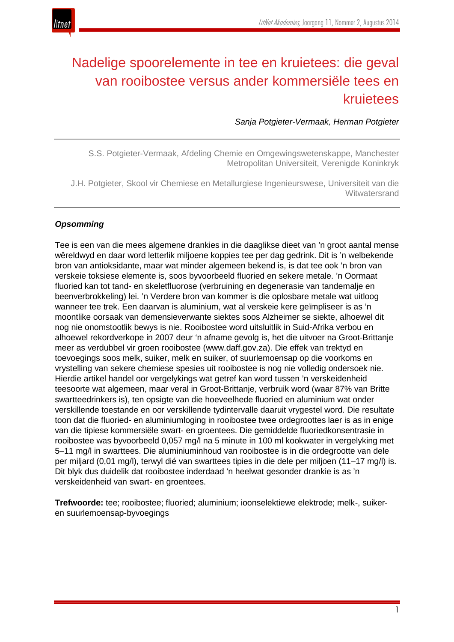

# Nadelige spoorelemente in tee en kruietees: die geval van rooibostee versus ander kommersiële tees en kruietees

*Sanja Potgieter-Vermaak, Herman Potgieter*

S.S. Potgieter-Vermaak, Afdeling Chemie en Omgewingswetenskappe, Manchester Metropolitan Universiteit, Verenigde Koninkryk

J.H. Potgieter, Skool vir Chemiese en Metallurgiese Ingenieurswese, Universiteit van die **Witwatersrand** 

#### *Opsomming*

Tee is een van die mees algemene drankies in die daaglikse dieet van 'n groot aantal mense wêreldwyd en daar word letterlik miljoene koppies tee per dag gedrink. Dit is 'n welbekende bron van antioksidante, maar wat minder algemeen bekend is, is dat tee ook 'n bron van verskeie toksiese elemente is, soos byvoorbeeld fluoried en sekere metale. 'n Oormaat fluoried kan tot tand- en skeletfluorose (verbruining en degenerasie van tandemalje en beenverbrokkeling) lei. 'n Verdere bron van kommer is die oplosbare metale wat uitloog wanneer tee trek. Een daarvan is aluminium, wat al verskeie kere geïmpliseer is as 'n moontlike oorsaak van demensieverwante siektes soos Alzheimer se siekte, alhoewel dit nog nie onomstootlik bewys is nie. Rooibostee word uitsluitlik in Suid-Afrika verbou en alhoewel rekordverkope in 2007 deur 'n afname gevolg is, het die uitvoer na Groot-Brittanje meer as verdubbel vir groen rooibostee (www.daff.gov.za). Die effek van trektyd en toevoegings soos melk, suiker, melk en suiker, of suurlemoensap op die voorkoms en vrystelling van sekere chemiese spesies uit rooibostee is nog nie volledig ondersoek nie. Hierdie artikel handel oor vergelykings wat getref kan word tussen 'n verskeidenheid teesoorte wat algemeen, maar veral in Groot-Brittanje, verbruik word (waar 87% van Britte swartteedrinkers is), ten opsigte van die hoeveelhede fluoried en aluminium wat onder verskillende toestande en oor verskillende tydintervalle daaruit vrygestel word. Die resultate toon dat die fluoried- en aluminiumloging in rooibostee twee ordegroottes laer is as in enige van die tipiese kommersiële swart- en groentees. Die gemiddelde fluoriedkonsentrasie in rooibostee was byvoorbeeld 0,057 mg/l na 5 minute in 100 ml kookwater in vergelyking met 5–11 mg/l in swarttees. Die aluminiuminhoud van rooibostee is in die ordegrootte van dele per miljard (0,01 mg/l), terwyl dié van swarttees tipies in die dele per miljoen (11–17 mg/l) is. Dit blyk dus duidelik dat rooibostee inderdaad 'n heelwat gesonder drankie is as 'n verskeidenheid van swart- en groentees.

**Trefwoorde:** tee; rooibostee; fluoried; aluminium; ioonselektiewe elektrode; melk-, suikeren suurlemoensap-byvoegings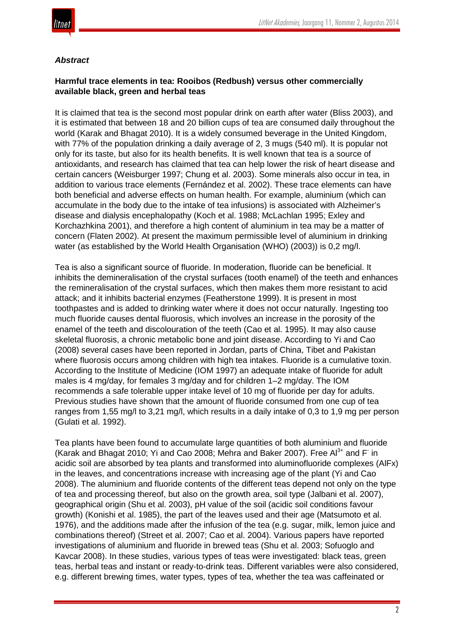

# *Abstract*

# **Harmful trace elements in tea: Rooibos (Redbush) versus other commercially available black, green and herbal teas**

It is claimed that tea is the second most popular drink on earth after water (Bliss 2003), and it is estimated that between 18 and 20 billion cups of tea are consumed daily throughout the world (Karak and Bhagat 2010). It is a widely consumed beverage in the United Kingdom, with 77% of the population drinking a daily average of 2, 3 mugs (540 ml). It is popular not only for its taste, but also for its health benefits. It is well known that tea is a source of antioxidants, and research has claimed that tea can help lower the risk of heart disease and certain cancers (Weisburger 1997; Chung et al. 2003). Some minerals also occur in tea, in addition to various trace elements (Fernández et al. 2002). These trace elements can have both beneficial and adverse effects on human health. For example, aluminium (which can accumulate in the body due to the intake of tea infusions) is associated with Alzheimer's disease and dialysis encephalopathy (Koch et al. 1988; McLachlan 1995; Exley and Korchazhkina 2001), and therefore a high content of aluminium in tea may be a matter of concern (Flaten 2002). At present the maximum permissible level of aluminium in drinking water (as established by the World Health Organisation (WHO) (2003)) is 0,2 mg/l.

Tea is also a significant source of fluoride. In moderation, fluoride can be beneficial. It inhibits the demineralisation of the crystal surfaces (tooth enamel) of the teeth and enhances the remineralisation of the crystal surfaces, which then makes them more resistant to acid attack; and it inhibits bacterial enzymes (Featherstone 1999). It is present in most toothpastes and is added to drinking water where it does not occur naturally. Ingesting too much fluoride causes dental fluorosis, which involves an increase in the porosity of the enamel of the teeth and discolouration of the teeth (Cao et al. 1995). It may also cause skeletal fluorosis, a chronic metabolic bone and joint disease. According to Yi and Cao (2008) several cases have been reported in Jordan, parts of China, Tibet and Pakistan where fluorosis occurs among children with high tea intakes. Fluoride is a cumulative toxin. According to the Institute of Medicine (IOM 1997) an adequate intake of fluoride for adult males is 4 mg/day, for females 3 mg/day and for children 1–2 mg/day. The IOM recommends a safe tolerable upper intake level of 10 mg of fluoride per day for adults. Previous studies have shown that the amount of fluoride consumed from one cup of tea ranges from 1,55 mg/l to 3,21 mg/l, which results in a daily intake of 0,3 to 1,9 mg per person (Gulati et al. 1992).

Tea plants have been found to accumulate large quantities of both aluminium and fluoride (Karak and Bhagat 2010; Yi and Cao 2008; Mehra and Baker 2007). Free  $Al^{3+}$  and F in acidic soil are absorbed by tea plants and transformed into aluminofluoride complexes (AlFx) in the leaves, and concentrations increase with increasing age of the plant (Yi and Cao 2008). The aluminium and fluoride contents of the different teas depend not only on the type of tea and processing thereof, but also on the growth area, soil type (Jalbani et al. 2007), geographical origin (Shu et al. 2003), pH value of the soil (acidic soil conditions favour growth) (Konishi et al. 1985), the part of the leaves used and their age (Matsumoto et al. 1976), and the additions made after the infusion of the tea (e.g. sugar, milk, lemon juice and combinations thereof) (Street et al. 2007; Cao et al. 2004). Various papers have reported investigations of aluminium and fluoride in brewed teas (Shu et al. 2003; Sofuoglo and Kavcar 2008). In these studies, various types of teas were investigated: black teas, green teas, herbal teas and instant or ready-to-drink teas. Different variables were also considered, e.g. different brewing times, water types, types of tea, whether the tea was caffeinated or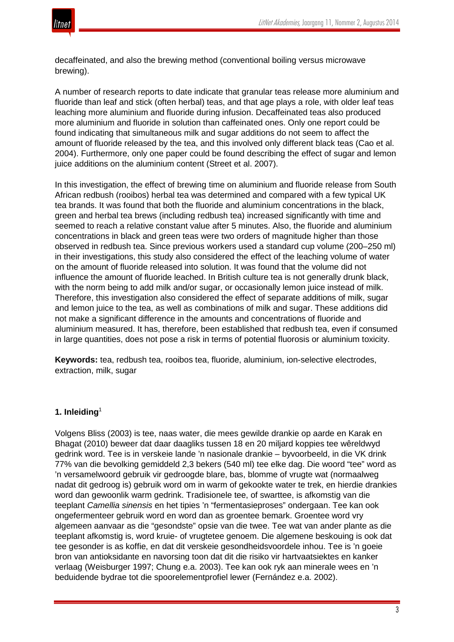

decaffeinated, and also the brewing method (conventional boiling versus microwave brewing).

A number of research reports to date indicate that granular teas release more aluminium and fluoride than leaf and stick (often herbal) teas, and that age plays a role, with older leaf teas leaching more aluminium and fluoride during infusion. Decaffeinated teas also produced more aluminium and fluoride in solution than caffeinated ones. Only one report could be found indicating that simultaneous milk and sugar additions do not seem to affect the amount of fluoride released by the tea, and this involved only different black teas (Cao et al. 2004). Furthermore, only one paper could be found describing the effect of sugar and lemon juice additions on the aluminium content (Street et al. 2007).

In this investigation, the effect of brewing time on aluminium and fluoride release from South African redbush (rooibos) herbal tea was determined and compared with a few typical UK tea brands. It was found that both the fluoride and aluminium concentrations in the black, green and herbal tea brews (including redbush tea) increased significantly with time and seemed to reach a relative constant value after 5 minutes. Also, the fluoride and aluminium concentrations in black and green teas were two orders of magnitude higher than those observed in redbush tea. Since previous workers used a standard cup volume (200–250 ml) in their investigations, this study also considered the effect of the leaching volume of water on the amount of fluoride released into solution. It was found that the volume did not influence the amount of fluoride leached. In British culture tea is not generally drunk black, with the norm being to add milk and/or sugar, or occasionally lemon juice instead of milk. Therefore, this investigation also considered the effect of separate additions of milk, sugar and lemon juice to the tea, as well as combinations of milk and sugar. These additions did not make a significant difference in the amounts and concentrations of fluoride and aluminium measured. It has, therefore, been established that redbush tea, even if consumed in large quantities, does not pose a risk in terms of potential fluorosis or aluminium toxicity.

**Keywords:** tea, redbush tea, rooibos tea, fluoride, aluminium, ion-selective electrodes, extraction, milk, sugar

#### **1. Inleiding**<sup>1</sup>

Volgens Bliss (2003) is tee, naas water, die mees gewilde drankie op aarde en Karak en Bhagat (2010) beweer dat daar daagliks tussen 18 en 20 miljard koppies tee wêreldwyd gedrink word. Tee is in verskeie lande 'n nasionale drankie – byvoorbeeld, in die VK drink 77% van die bevolking gemiddeld 2,3 bekers (540 ml) tee elke dag. Die woord "tee" word as 'n versamelwoord gebruik vir gedroogde blare, bas, blomme of vrugte wat (normaalweg nadat dit gedroog is) gebruik word om in warm of gekookte water te trek, en hierdie drankies word dan gewoonlik warm gedrink. Tradisionele tee, of swarttee, is afkomstig van die teeplant *Camellia sinensis* en het tipies 'n "fermentasieproses" ondergaan. Tee kan ook ongefermenteer gebruik word en word dan as groentee bemark. Groentee word vry algemeen aanvaar as die "gesondste" opsie van die twee. Tee wat van ander plante as die teeplant afkomstig is, word kruie- of vrugtetee genoem. Die algemene beskouing is ook dat tee gesonder is as koffie, en dat dit verskeie gesondheidsvoordele inhou. Tee is 'n goeie bron van antioksidante en navorsing toon dat dit die risiko vir hartvaatsiektes en kanker verlaag (Weisburger 1997; Chung e.a. 2003). Tee kan ook ryk aan minerale wees en 'n beduidende bydrae tot die spoorelementprofiel lewer (Fernández e.a. 2002).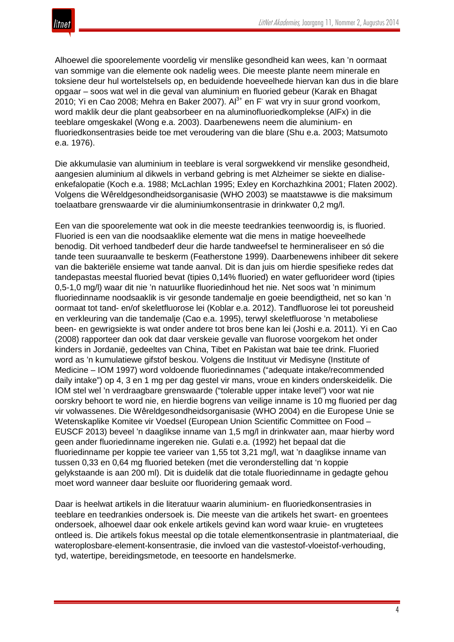Alhoewel die spoorelemente voordelig vir menslike gesondheid kan wees, kan 'n oormaat van sommige van die elemente ook nadelig wees. Die meeste plante neem minerale en toksiene deur hul wortelstelsels op, en beduidende hoeveelhede hiervan kan dus in die blare opgaar – soos wat wel in die geval van aluminium en fluoried gebeur (Karak en Bhagat 2010; Yi en Cao 2008; Mehra en Baker 2007).  $Al^{3+}$  en F wat vry in suur grond voorkom, word maklik deur die plant geabsorbeer en na aluminofluoriedkomplekse (AlFx) in die teeblare omgeskakel (Wong e.a. 2003). Daarbenewens neem die aluminium- en fluoriedkonsentrasies beide toe met veroudering van die blare (Shu e.a. 2003; Matsumoto e.a. 1976).

Die akkumulasie van aluminium in teeblare is veral sorgwekkend vir menslike gesondheid, aangesien aluminium al dikwels in verband gebring is met Alzheimer se siekte en dialiseenkefalopatie (Koch e.a. 1988; McLachlan 1995; Exley en Korchazhkina 2001; Flaten 2002). Volgens die Wêreldgesondheidsorganisasie (WHO 2003) se maatstawwe is die maksimum toelaatbare grenswaarde vir die aluminiumkonsentrasie in drinkwater 0,2 mg/l.

Een van die spoorelemente wat ook in die meeste teedrankies teenwoordig is, is fluoried. Fluoried is een van die noodsaaklike elemente wat die mens in matige hoeveelhede benodig. Dit verhoed tandbederf deur die harde tandweefsel te hermineraliseer en só die tande teen suuraanvalle te beskerm (Featherstone 1999). Daarbenewens inhibeer dit sekere van die bakteriële ensieme wat tande aanval. Dit is dan juis om hierdie spesifieke redes dat tandepastas meestal fluoried bevat (tipies 0,14% fluoried) en water gefluorideer word (tipies 0,5-1,0 mg/l) waar dit nie 'n natuurlike fluoriedinhoud het nie. Net soos wat 'n minimum fluoriedinname noodsaaklik is vir gesonde tandemalje en goeie beendigtheid, net so kan 'n oormaat tot tand- en/of skeletfluorose lei (Koblar e.a. 2012). Tandfluorose lei tot poreusheid en verkleuring van die tandemalje (Cao e.a. 1995), terwyl skeletfluorose 'n metaboliese been- en gewrigsiekte is wat onder andere tot bros bene kan lei (Joshi e.a. 2011). Yi en Cao (2008) rapporteer dan ook dat daar verskeie gevalle van fluorose voorgekom het onder kinders in Jordanië, gedeeltes van China, Tibet en Pakistan wat baie tee drink. Fluoried word as 'n kumulatiewe gifstof beskou. Volgens die Instituut vir Medisyne (Institute of Medicine – IOM 1997) word voldoende fluoriedinnames ("adequate intake/recommended daily intake") op 4, 3 en 1 mg per dag gestel vir mans, vroue en kinders onderskeidelik. Die IOM stel wel 'n verdraagbare grenswaarde ("tolerable upper intake level") voor wat nie oorskry behoort te word nie, en hierdie bogrens van veilige inname is 10 mg fluoried per dag vir volwassenes. Die Wêreldgesondheidsorganisasie (WHO 2004) en die Europese Unie se Wetenskaplike Komitee vir Voedsel (European Union Scientific Committee on Food – EUSCF 2013) beveel 'n daaglikse inname van 1,5 mg/l in drinkwater aan, maar hierby word geen ander fluoriedinname ingereken nie. Gulati e.a. (1992) het bepaal dat die fluoriedinname per koppie tee varieer van 1,55 tot 3,21 mg/l, wat 'n daaglikse inname van tussen 0,33 en 0,64 mg fluoried beteken (met die veronderstelling dat 'n koppie gelykstaande is aan 200 ml). Dit is duidelik dat die totale fluoriedinname in gedagte gehou moet word wanneer daar besluite oor fluoridering gemaak word.

Daar is heelwat artikels in die literatuur waarin aluminium- en fluoriedkonsentrasies in teeblare en teedrankies ondersoek is. Die meeste van die artikels het swart- en groentees ondersoek, alhoewel daar ook enkele artikels gevind kan word waar kruie- en vrugtetees ontleed is. Die artikels fokus meestal op die totale elementkonsentrasie in plantmateriaal, die wateroplosbare-element-konsentrasie, die invloed van die vastestof-vloeistof-verhouding, tyd, watertipe, bereidingsmetode, en teesoorte en handelsmerke.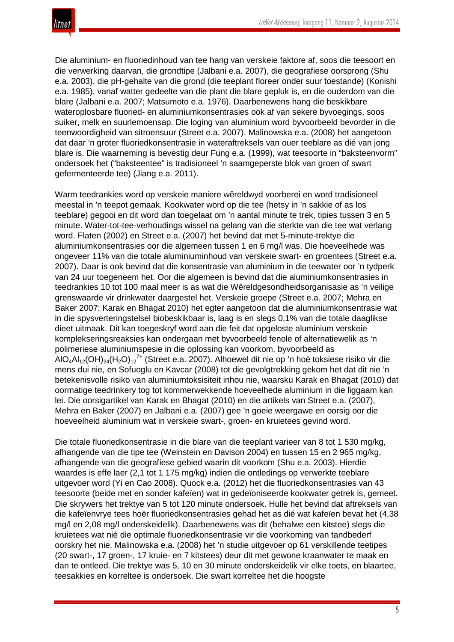

Die aluminium- en fluoriedinhoud van tee hang van verskeie faktore af, soos die teesoort en die verwerking daarvan, die grondtipe (Jalbani e.a. 2007), die geografiese oorsprong (Shu e.a. 2003), die pH-gehalte van die grond (die teeplant floreer onder suur toestande) (Konishi e.a. 1985), vanaf watter gedeelte van die plant die blare gepluk is, en die ouderdom van die blare (Jalbani e.a. 2007; Matsumoto e.a. 1976). Daarbenewens hang die beskikbare wateroplosbare fluoried- en aluminiumkonsentrasies ook af van sekere byvoegings, soos suiker, melk en suurlemoensap. Die loging van aluminium word byvoorbeeld bevorder in die teenwoordigheid van sitroensuur (Street e.a. 2007). Malinowska e.a. (2008) het aangetoon dat daar 'n groter fluoriedkonsentrasie in wateraftreksels van ouer teeblare as dié van jong blare is. Die waarneming is bevestig deur Fung e.a. (1999), wat teesoorte in "baksteenvorm" ondersoek het ("baksteentee" is tradisioneel 'n saamgeperste blok van groen of swart gefermenteerde tee) (Jiang e.a. 2011).

Warm teedrankies word op verskeie maniere wêreldwyd voorberei en word tradisioneel meestal in 'n teepot gemaak. Kookwater word op die tee (hetsy in 'n sakkie of as los teeblare) gegooi en dit word dan toegelaat om 'n aantal minute te trek, tipies tussen 3 en 5 minute. Water-tot-tee-verhoudings wissel na gelang van die sterkte van die tee wat verlang word. Flaten (2002) en Street e.a. (2007) het bevind dat met 5-minute-trektye die aluminiumkonsentrasies oor die algemeen tussen 1 en 6 mg/l was. Die hoeveelhede was ongeveer 11% van die totale aluminiuminhoud van verskeie swart- en groentees (Street e.a. 2007). Daar is ook bevind dat die konsentrasie van aluminium in die teewater oor 'n tydperk van 24 uur toegeneem het. Oor die algemeen is bevind dat die aluminiumkonsentrasies in teedrankies 10 tot 100 maal meer is as wat die Wêreldgesondheidsorganisasie as 'n veilige grenswaarde vir drinkwater daargestel het. Verskeie groepe (Street e.a. 2007; Mehra en Baker 2007; Karak en Bhagat 2010) het egter aangetoon dat die aluminiumkonsentrasie wat in die spysverteringstelsel biobeskikbaar is, laag is en slegs 0,1% van die totale daaglikse dieet uitmaak. Dit kan toegeskryf word aan die feit dat opgeloste aluminium verskeie komplekseringsreaksies kan ondergaan met byvoorbeeld fenole of alternatiewelik as 'n polimeriese aluminiumspesie in die oplossing kan voorkom, byvoorbeeld as AlO<sub>4</sub>Al<sub>12</sub>(OH)<sub>24</sub>(H<sub>2</sub>O)<sub>12</sub><sup>7+</sup> (Street e.a. 2007). Alhoewel dit nie op 'n hoë toksiese risiko vir die mens dui nie, en Sofuoglu en Kavcar (2008) tot die gevolgtrekking gekom het dat dit nie 'n betekenisvolle risiko van aluminiumtoksisiteit inhou nie, waarsku Karak en Bhagat (2010) dat oormatige teedrinkery tog tot kommerwekkende hoeveelhede aluminium in die liggaam kan lei. Die oorsigartikel van Karak en Bhagat (2010) en die artikels van Street e.a. (2007), Mehra en Baker (2007) en Jalbani e.a. (2007) gee 'n goeie weergawe en oorsig oor die hoeveelheid aluminium wat in verskeie swart-, groen- en kruietees gevind word.

Die totale fluoriedkonsentrasie in die blare van die teeplant varieer van 8 tot 1 530 mg/kg, afhangende van die tipe tee (Weinstein en Davison 2004) en tussen 15 en 2 965 mg/kg, afhangende van die geografiese gebied waarin dit voorkom (Shu e.a. 2003). Hierdie waardes is effe laer (2,1 tot 1 175 mg/kg) indien die ontledings op verwerkte teeblare uitgevoer word (Yi en Cao 2008). Quock e.a. (2012) het die fluoriedkonsentrasies van 43 teesoorte (beide met en sonder kafeïen) wat in gedeïoniseerde kookwater getrek is, gemeet. Die skrywers het trektye van 5 tot 120 minute ondersoek. Hulle het bevind dat aftreksels van die kafeïenvrye tees hoër fluoriedkonsentrasies gehad het as dié wat kafeïen bevat het (4,38 mg/l en 2,08 mg/l onderskeidelik). Daarbenewens was dit (behalwe een kitstee) slegs die kruietees wat nié die optimale fluoriedkonsentrasie vir die voorkoming van tandbederf oorskry het nie. Malinowska e.a. (2008) het 'n studie uitgevoer op 61 verskillende teetipes (20 swart-, 17 groen-, 17 kruie- en 7 kitstees) deur dit met gewone kraanwater te maak en dan te ontleed. Die trektye was 5, 10 en 30 minute onderskeidelik vir elke toets, en blaartee, teesakkies en korreltee is ondersoek. Die swart korreltee het die hoogste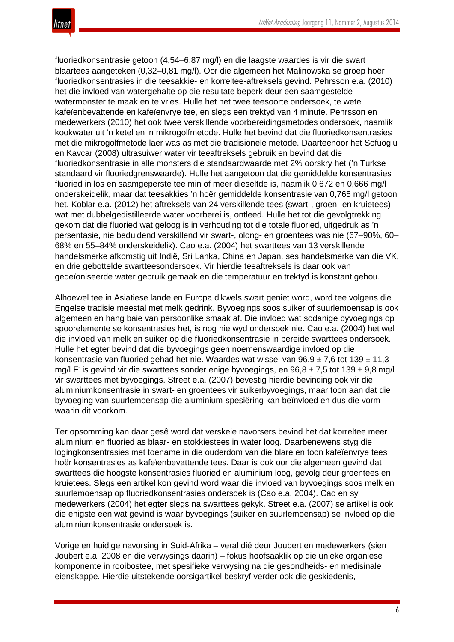fluoriedkonsentrasie getoon (4,54–6,87 mg/l) en die laagste waardes is vir die swart blaartees aangeteken (0,32–0,81 mg/l). Oor die algemeen het Malinowska se groep hoër fluoriedkonsentrasies in die teesakkie- en korreltee-aftreksels gevind. Pehrsson e.a. (2010) het die invloed van watergehalte op die resultate beperk deur een saamgestelde watermonster te maak en te vries. Hulle het net twee teesoorte ondersoek, te wete kafeïenbevattende en kafeïenvrye tee, en slegs een trektyd van 4 minute. Pehrsson en medewerkers (2010) het ook twee verskillende voorbereidingsmetodes ondersoek, naamlik kookwater uit 'n ketel en 'n mikrogolfmetode. Hulle het bevind dat die fluoriedkonsentrasies met die mikrogolfmetode laer was as met die tradisionele metode. Daarteenoor het Sofuoglu en Kavcar (2008) ultrasuiwer water vir teeaftreksels gebruik en bevind dat die fluoriedkonsentrasie in alle monsters die standaardwaarde met 2% oorskry het ('n Turkse standaard vir fluoriedgrenswaarde). Hulle het aangetoon dat die gemiddelde konsentrasies fluoried in los en saamgeperste tee min of meer dieselfde is, naamlik 0,672 en 0,666 mg/l onderskeidelik, maar dat teesakkies 'n hoër gemiddelde konsentrasie van 0,765 mg/l getoon het. Koblar e.a. (2012) het aftreksels van 24 verskillende tees (swart-, groen- en kruietees) wat met dubbelgedistilleerde water voorberei is, ontleed. Hulle het tot die gevolgtrekking gekom dat die fluoried wat geloog is in verhouding tot die totale fluoried, uitgedruk as 'n persentasie, nie beduidend verskillend vir swart-, olong- en groentees was nie (67–90%, 60– 68% en 55–84% onderskeidelik). Cao e.a. (2004) het swarttees van 13 verskillende handelsmerke afkomstig uit Indië, Sri Lanka, China en Japan, ses handelsmerke van die VK, en drie gebottelde swartteesondersoek. Vir hierdie teeaftreksels is daar ook van gedeïoniseerde water gebruik gemaak en die temperatuur en trektyd is konstant gehou.

Alhoewel tee in Asiatiese lande en Europa dikwels swart geniet word, word tee volgens die Engelse tradisie meestal met melk gedrink. Byvoegings soos suiker of suurlemoensap is ook algemeen en hang baie van persoonlike smaak af. Die invloed wat sodanige byvoegings op spoorelemente se konsentrasies het, is nog nie wyd ondersoek nie. Cao e.a. (2004) het wel die invloed van melk en suiker op die fluoriedkonsentrasie in bereide swarttees ondersoek. Hulle het egter bevind dat die byvoegings geen noemenswaardige invloed op die konsentrasie van fluoried gehad het nie. Waardes wat wissel van 96,9  $\pm$  7,6 tot 139  $\pm$  11,3 mg/l F is gevind vir die swarttees sonder enige byvoegings, en 96,8  $\pm$  7,5 tot 139  $\pm$  9,8 mg/l vir swarttees met byvoegings. Street e.a. (2007) bevestig hierdie bevinding ook vir die aluminiumkonsentrasie in swart- en groentees vir suikerbyvoegings, maar toon aan dat die byvoeging van suurlemoensap die aluminium-spesiëring kan beïnvloed en dus die vorm waarin dit voorkom.

Ter opsomming kan daar gesê word dat verskeie navorsers bevind het dat korreltee meer aluminium en fluoried as blaar- en stokkiestees in water loog. Daarbenewens styg die logingkonsentrasies met toename in die ouderdom van die blare en toon kafeïenvrye tees hoër konsentrasies as kafeïenbevattende tees. Daar is ook oor die algemeen gevind dat swarttees die hoogste konsentrasies fluoried en aluminium loog, gevolg deur groentees en kruietees. Slegs een artikel kon gevind word waar die invloed van byvoegings soos melk en suurlemoensap op fluoriedkonsentrasies ondersoek is (Cao e.a. 2004). Cao en sy medewerkers (2004) het egter slegs na swarttees gekyk. Street e.a. (2007) se artikel is ook die enigste een wat gevind is waar byvoegings (suiker en suurlemoensap) se invloed op die aluminiumkonsentrasie ondersoek is.

Vorige en huidige navorsing in Suid-Afrika – veral dié deur Joubert en medewerkers (sien Joubert e.a. 2008 en die verwysings daarin) – fokus hoofsaaklik op die unieke organiese komponente in rooibostee, met spesifieke verwysing na die gesondheids- en medisinale eienskappe. Hierdie uitstekende oorsigartikel beskryf verder ook die geskiedenis,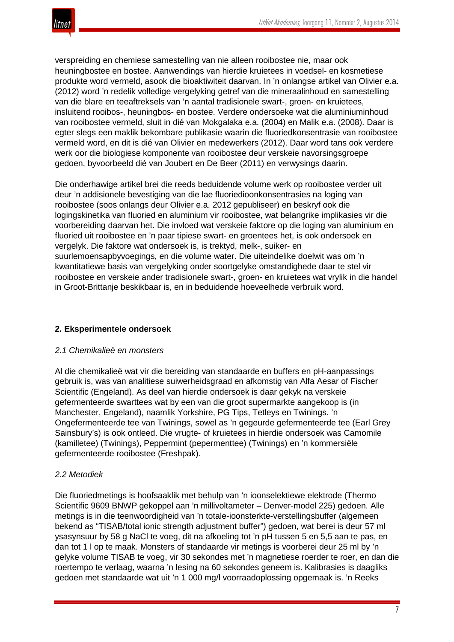

verspreiding en chemiese samestelling van nie alleen rooibostee nie, maar ook heuningbostee en bostee. Aanwendings van hierdie kruietees in voedsel- en kosmetiese produkte word vermeld, asook die bioaktiwiteit daarvan. In 'n onlangse artikel van Olivier e.a. (2012) word 'n redelik volledige vergelyking getref van die mineraalinhoud en samestelling van die blare en teeaftreksels van 'n aantal tradisionele swart-, groen- en kruietees, insluitend rooibos-, heuningbos- en bostee. Verdere ondersoeke wat die aluminiuminhoud van rooibostee vermeld, sluit in dié van Mokgalaka e.a. (2004) en Malik e.a. (2008). Daar is egter slegs een maklik bekombare publikasie waarin die fluoriedkonsentrasie van rooibostee vermeld word, en dit is dié van Olivier en medewerkers (2012). Daar word tans ook verdere werk oor die biologiese komponente van rooibostee deur verskeie navorsingsgroepe gedoen, byvoorbeeld dié van Joubert en De Beer (2011) en verwysings daarin.

Die onderhawige artikel brei die reeds beduidende volume werk op rooibostee verder uit deur 'n addisionele bevestiging van die lae fluoriedioonkonsentrasies na loging van rooibostee (soos onlangs deur Olivier e.a. 2012 gepubliseer) en beskryf ook die logingskinetika van fluoried en aluminium vir rooibostee, wat belangrike implikasies vir die voorbereiding daarvan het. Die invloed wat verskeie faktore op die loging van aluminium en fluoried uit rooibostee en 'n paar tipiese swart- en groentees het, is ook ondersoek en vergelyk. Die faktore wat ondersoek is, is trektyd, melk-, suiker- en suurlemoensapbyvoegings, en die volume water. Die uiteindelike doelwit was om 'n kwantitatiewe basis van vergelyking onder soortgelyke omstandighede daar te stel vir rooibostee en verskeie ander tradisionele swart-, groen- en kruietees wat vrylik in die handel in Groot-Brittanje beskikbaar is, en in beduidende hoeveelhede verbruik word.

#### **2. Eksperimentele ondersoek**

#### *2.1 Chemikalieë en monsters*

Al die chemikalieë wat vir die bereiding van standaarde en buffers en pH-aanpassings gebruik is, was van analitiese suiwerheidsgraad en afkomstig van Alfa Aesar of Fischer Scientific (Engeland). As deel van hierdie ondersoek is daar gekyk na verskeie gefermenteerde swarttees wat by een van die groot supermarkte aangekoop is (in Manchester, Engeland), naamlik Yorkshire, PG Tips, Tetleys en Twinings. 'n Ongefermenteerde tee van Twinings, sowel as 'n gegeurde gefermenteerde tee (Earl Grey Sainsbury's) is ook ontleed. Die vrugte- of kruietees in hierdie ondersoek was Camomile (kamilletee) (Twinings), Peppermint (pepermenttee) (Twinings) en 'n kommersiële gefermenteerde rooibostee (Freshpak).

#### *2.2 Metodiek*

Die fluoriedmetings is hoofsaaklik met behulp van 'n ioonselektiewe elektrode (Thermo Scientific 9609 BNWP gekoppel aan 'n millivoltameter – Denver-model 225) gedoen. Alle metings is in die teenwoordigheid van 'n totale-ioonsterkte-verstellingsbuffer (algemeen bekend as "TISAB/total ionic strength adjustment buffer") gedoen, wat berei is deur 57 ml ysasynsuur by 58 g NaCl te voeg, dit na afkoeling tot 'n pH tussen 5 en 5,5 aan te pas, en dan tot 1 l op te maak. Monsters of standaarde vir metings is voorberei deur 25 ml by 'n gelyke volume TISAB te voeg, vir 30 sekondes met 'n magnetiese roerder te roer, en dan die roertempo te verlaag, waarna 'n lesing na 60 sekondes geneem is. Kalibrasies is daagliks gedoen met standaarde wat uit 'n 1 000 mg/l voorraadoplossing opgemaak is. 'n Reeks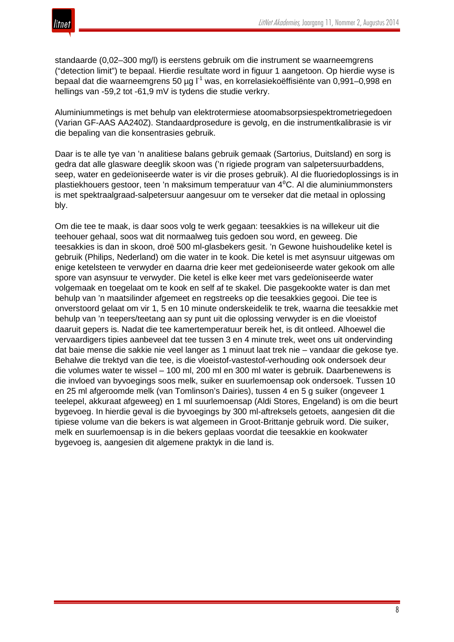

standaarde (0,02–300 mg/l) is eerstens gebruik om die instrument se waarneemgrens ("detection limit") te bepaal. Hierdie resultate word in figuur 1 aangetoon. Op hierdie wyse is bepaal dat die waarneemgrens 50 µg l<sup>-1</sup> was, en korrelasiekoëffisiënte van 0,991–0,998 en hellings van -59,2 tot -61,9 mV is tydens die studie verkry.

Aluminiummetings is met behulp van elektrotermiese atoomabsorpsiespektrometriegedoen (Varian GF-AAS AA240Z). Standaardprosedure is gevolg, en die instrumentkalibrasie is vir die bepaling van die konsentrasies gebruik.

Daar is te alle tye van 'n analitiese balans gebruik gemaak (Sartorius, Duitsland) en sorg is gedra dat alle glasware deeglik skoon was ('n rigiede program van salpetersuurbaddens, seep, water en gedeïoniseerde water is vir die proses gebruik). Al die fluoriedoplossings is in plastiekhouers gestoor, teen 'n maksimum temperatuur van 4⁰C. Al die aluminiummonsters is met spektraalgraad-salpetersuur aangesuur om te verseker dat die metaal in oplossing bly.

Om die tee te maak, is daar soos volg te werk gegaan: teesakkies is na willekeur uit die teehouer gehaal, soos wat dit normaalweg tuis gedoen sou word, en geweeg. Die teesakkies is dan in skoon, droë 500 ml-glasbekers gesit. 'n Gewone huishoudelike ketel is gebruik (Philips, Nederland) om die water in te kook. Die ketel is met asynsuur uitgewas om enige ketelsteen te verwyder en daarna drie keer met gedeïoniseerde water gekook om alle spore van asynsuur te verwyder. Die ketel is elke keer met vars gedeïoniseerde water volgemaak en toegelaat om te kook en self af te skakel. Die pasgekookte water is dan met behulp van 'n maatsilinder afgemeet en regstreeks op die teesakkies gegooi. Die tee is onverstoord gelaat om vir 1, 5 en 10 minute onderskeidelik te trek, waarna die teesakkie met behulp van 'n teepers/teetang aan sy punt uit die oplossing verwyder is en die vloeistof daaruit gepers is. Nadat die tee kamertemperatuur bereik het, is dit ontleed. Alhoewel die vervaardigers tipies aanbeveel dat tee tussen 3 en 4 minute trek, weet ons uit ondervinding dat baie mense die sakkie nie veel langer as 1 minuut laat trek nie – vandaar die gekose tye. Behalwe die trektyd van die tee, is die vloeistof-vastestof-verhouding ook ondersoek deur die volumes water te wissel – 100 ml, 200 ml en 300 ml water is gebruik. Daarbenewens is die invloed van byvoegings soos melk, suiker en suurlemoensap ook ondersoek. Tussen 10 en 25 ml afgeroomde melk (van Tomlinson's Dairies), tussen 4 en 5 g suiker (ongeveer 1 teelepel, akkuraat afgeweeg) en 1 ml suurlemoensap (Aldi Stores, Engeland) is om die beurt bygevoeg. In hierdie geval is die byvoegings by 300 ml-aftreksels getoets, aangesien dit die tipiese volume van die bekers is wat algemeen in Groot-Brittanje gebruik word. Die suiker, melk en suurlemoensap is in die bekers geplaas voordat die teesakkie en kookwater bygevoeg is, aangesien dit algemene praktyk in die land is.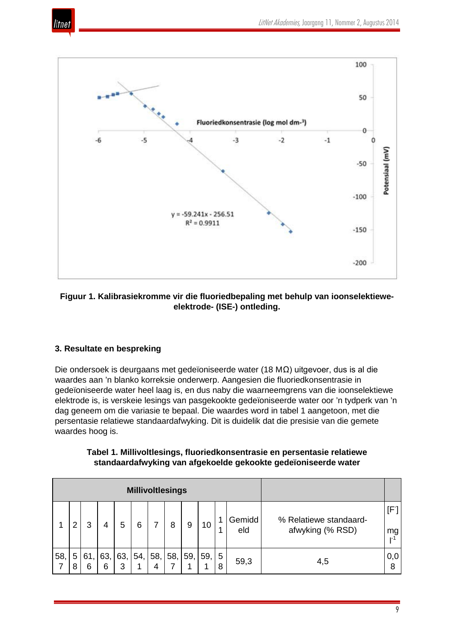



# **Figuur 1. Kalibrasiekromme vir die fluoriedbepaling met behulp van ioonselektieweelektrode- (ISE-) ontleding.**

# **3. Resultate en bespreking**

Die ondersoek is deurgaans met gedeïoniseerde water (18 MΩ) uitgevoer, dus is al die waardes aan 'n blanko korreksie onderwerp. Aangesien die fluoriedkonsentrasie in gedeïoniseerde water heel laag is, en dus naby die waarneemgrens van die ioonselektiewe elektrode is, is verskeie lesings van pasgekookte gedeïoniseerde water oor 'n tydperk van 'n dag geneem om die variasie te bepaal. Die waardes word in tabel 1 aangetoon, met die persentasie relatiewe standaardafwyking. Dit is duidelik dat die presisie van die gemete waardes hoog is.

# **Tabel 1. Millivoltlesings, fluoriedkonsentrasie en persentasie relatiewe standaardafwyking van afgekoelde gekookte gedeïoniseerde water**

| <b>Millivoltlesings</b> |        |          |          |          |     |          |     |     |          |        |               |                                            |                          |
|-------------------------|--------|----------|----------|----------|-----|----------|-----|-----|----------|--------|---------------|--------------------------------------------|--------------------------|
|                         | າ      | 3        | 4        | 5        | 6   |          | 8   | 9   | 10       | и      | Gemidd<br>eld | % Relatiewe standaard-<br>afwyking (% RSD) | (F∣<br>mg<br><u>ı</u> -1 |
| 58,                     | 5<br>8 | 61,<br>6 | 63,<br>6 | 63,<br>3 | 54, | 58,<br>4 | 58, | 59, | 59,<br>◢ | 5<br>8 | 59,3          | 4,5                                        | 0,0<br>8                 |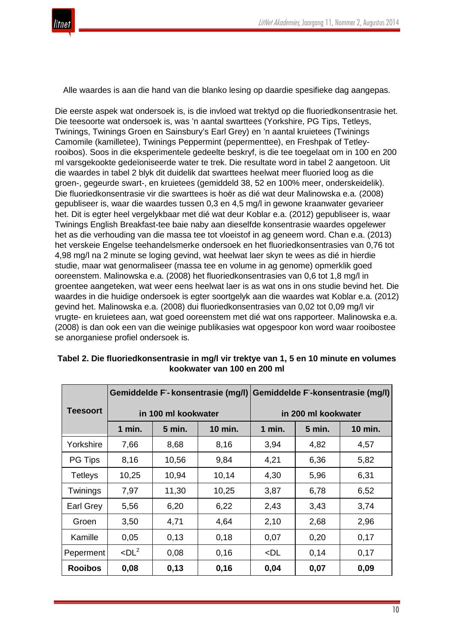

Alle waardes is aan die hand van die blanko lesing op daardie spesifieke dag aangepas.

Die eerste aspek wat ondersoek is, is die invloed wat trektyd op die fluoriedkonsentrasie het. Die teesoorte wat ondersoek is, was 'n aantal swarttees (Yorkshire, PG Tips, Tetleys, Twinings, Twinings Groen en Sainsbury's Earl Grey) en 'n aantal kruietees (Twinings Camomile (kamilletee), Twinings Peppermint (pepermenttee), en Freshpak of Tetleyrooibos). Soos in die eksperimentele gedeelte beskryf, is die tee toegelaat om in 100 en 200 ml varsgekookte gedeïoniseerde water te trek. Die resultate word in tabel 2 aangetoon. Uit die waardes in tabel 2 blyk dit duidelik dat swarttees heelwat meer fluoried loog as die groen-, gegeurde swart-, en kruietees (gemiddeld 38, 52 en 100% meer, onderskeidelik). Die fluoriedkonsentrasie vir die swarttees is hoër as dié wat deur Malinowska e.a. (2008) gepubliseer is, waar die waardes tussen 0,3 en 4,5 mg/l in gewone kraanwater gevarieer het. Dit is egter heel vergelykbaar met dié wat deur Koblar e.a. (2012) gepubliseer is, waar Twinings English Breakfast-tee baie naby aan dieselfde konsentrasie waardes opgelewer het as die verhouding van die massa tee tot vloeistof in ag geneem word. Chan e.a. (2013) het verskeie Engelse teehandelsmerke ondersoek en het fluoriedkonsentrasies van 0,76 tot 4,98 mg/l na 2 minute se loging gevind, wat heelwat laer skyn te wees as dié in hierdie studie, maar wat genormaliseer (massa tee en volume in ag genome) opmerklik goed ooreenstem. Malinowska e.a. (2008) het fluoriedkonsentrasies van 0,6 tot 1,8 mg/l in groentee aangeteken, wat weer eens heelwat laer is as wat ons in ons studie bevind het. Die waardes in die huidige ondersoek is egter soortgelyk aan die waardes wat Koblar e.a. (2012) gevind het. Malinowska e.a. (2008) dui fluoriedkonsentrasies van 0,02 tot 0,09 mg/l vir vrugte- en kruietees aan, wat goed ooreenstem met dié wat ons rapporteer. Malinowska e.a. (2008) is dan ook een van die weinige publikasies wat opgespoor kon word waar rooibostee se anorganiese profiel ondersoek is.

|                 |                        |                     | Gemiddelde F-konsentrasie (mg/l) | Gemiddelde F-konsentrasie (mg/l) |               |                |  |
|-----------------|------------------------|---------------------|----------------------------------|----------------------------------|---------------|----------------|--|
| <b>Teesoort</b> |                        | in 100 ml kookwater |                                  | in 200 ml kookwater              |               |                |  |
|                 | 1 min.                 | <b>5 min.</b>       | <b>10 min.</b>                   | $1$ min.                         | <b>5 min.</b> | <b>10 min.</b> |  |
| Yorkshire       | 7,66                   | 8,68                | 8,16                             | 3,94                             | 4,82          | 4,57           |  |
| PG Tips         | 8,16                   | 10,56               | 9,84                             | 4,21                             | 6,36          | 5,82           |  |
| <b>Tetleys</b>  | 10,25                  | 10,94               | 10,14                            | 4,30                             | 5,96          | 6,31           |  |
| Twinings        | 7,97                   | 11,30               | 10,25                            | 3,87                             | 6,78          | 6,52           |  |
| Earl Grey       | 5,56                   | 6,20                | 6,22                             | 2,43                             | 3,43          | 3,74           |  |
| Groen           | 3,50                   | 4,71                | 4,64                             | 2,10                             | 2,68          | 2,96           |  |
| Kamille         | 0,05                   | 0,13                | 0,18                             | 0,07                             | 0,20          | 0,17           |  |
| Peperment       | $\n  <$ DL $2$<br>0,08 |                     | 0,16                             | $<$ DL                           | 0,14          | 0,17           |  |
| <b>Rooibos</b>  | 0,08                   | 0,13                | 0,16                             | 0,04                             | 0,07          | 0,09           |  |

# **Tabel 2. Die fluoriedkonsentrasie in mg/l vir trektye van 1, 5 en 10 minute en volumes kookwater van 100 en 200 ml**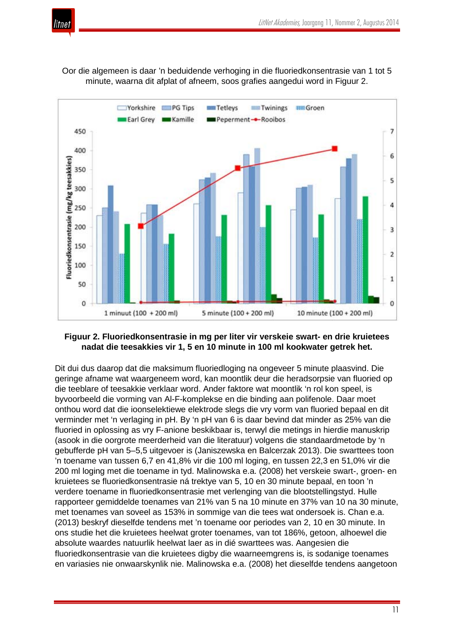

Oor die algemeen is daar 'n beduidende verhoging in die fluoriedkonsentrasie van 1 tot 5 minute, waarna dit afplat of afneem, soos grafies aangedui word in Figuur 2.



#### **Figuur 2. Fluoriedkonsentrasie in mg per liter vir verskeie swart- en drie kruietees nadat die teesakkies vir 1, 5 en 10 minute in 100 ml kookwater getrek het.**

Dit dui dus daarop dat die maksimum fluoriedloging na ongeveer 5 minute plaasvind. Die geringe afname wat waargeneem word, kan moontlik deur die heradsorpsie van fluoried op die teeblare of teesakkie verklaar word. Ander faktore wat moontlik 'n rol kon speel, is byvoorbeeld die vorming van Al-F-komplekse en die binding aan polifenole. Daar moet onthou word dat die ioonselektiewe elektrode slegs die vry vorm van fluoried bepaal en dit verminder met 'n verlaging in pH. By 'n pH van 6 is daar bevind dat minder as 25% van die fluoried in oplossing as vry F-anione beskikbaar is, terwyl die metings in hierdie manuskrip (asook in die oorgrote meerderheid van die literatuur) volgens die standaardmetode by 'n gebufferde pH van 5–5,5 uitgevoer is (Janiszewska en Balcerzak 2013). Die swarttees toon 'n toename van tussen 6,7 en 41,8% vir die 100 ml loging, en tussen 22,3 en 51,0% vir die 200 ml loging met die toename in tyd. Malinowska e.a. (2008) het verskeie swart-, groen- en kruietees se fluoriedkonsentrasie ná trektye van 5, 10 en 30 minute bepaal, en toon 'n verdere toename in fluoriedkonsentrasie met verlenging van die blootstellingstyd. Hulle rapporteer gemiddelde toenames van 21% van 5 na 10 minute en 37% van 10 na 30 minute, met toenames van soveel as 153% in sommige van die tees wat ondersoek is. Chan e.a. (2013) beskryf dieselfde tendens met 'n toename oor periodes van 2, 10 en 30 minute. In ons studie het die kruietees heelwat groter toenames, van tot 186%, getoon, alhoewel die absolute waardes natuurlik heelwat laer as in dié swarttees was. Aangesien die fluoriedkonsentrasie van die kruietees digby die waarneemgrens is, is sodanige toenames en variasies nie onwaarskynlik nie. Malinowska e.a. (2008) het dieselfde tendens aangetoon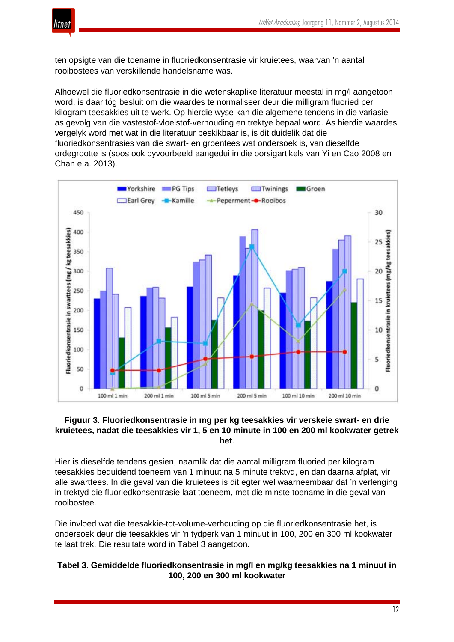

ten opsigte van die toename in fluoriedkonsentrasie vir kruietees, waarvan 'n aantal rooibostees van verskillende handelsname was.

Alhoewel die fluoriedkonsentrasie in die wetenskaplike literatuur meestal in mg/l aangetoon word, is daar tóg besluit om die waardes te normaliseer deur die milligram fluoried per kilogram teesakkies uit te werk. Op hierdie wyse kan die algemene tendens in die variasie as gevolg van die vastestof-vloeistof-verhouding en trektye bepaal word. As hierdie waardes vergelyk word met wat in die literatuur beskikbaar is, is dit duidelik dat die fluoriedkonsentrasies van die swart- en groentees wat ondersoek is, van dieselfde ordegrootte is (soos ook byvoorbeeld aangedui in die oorsigartikels van Yi en Cao 2008 en Chan e.a. 2013).



#### **Figuur 3. Fluoriedkonsentrasie in mg per kg teesakkies vir verskeie swart- en drie kruietees, nadat die teesakkies vir 1, 5 en 10 minute in 100 en 200 ml kookwater getrek het**.

Hier is dieselfde tendens gesien, naamlik dat die aantal milligram fluoried per kilogram teesakkies beduidend toeneem van 1 minuut na 5 minute trektyd, en dan daarna afplat, vir alle swarttees. In die geval van die kruietees is dit egter wel waarneembaar dat 'n verlenging in trektyd die fluoriedkonsentrasie laat toeneem, met die minste toename in die geval van rooibostee.

Die invloed wat die teesakkie-tot-volume-verhouding op die fluoriedkonsentrasie het, is ondersoek deur die teesakkies vir 'n tydperk van 1 minuut in 100, 200 en 300 ml kookwater te laat trek. Die resultate word in Tabel 3 aangetoon.

# **Tabel 3. Gemiddelde fluoriedkonsentrasie in mg/l en mg/kg teesakkies na 1 minuut in 100, 200 en 300 ml kookwater**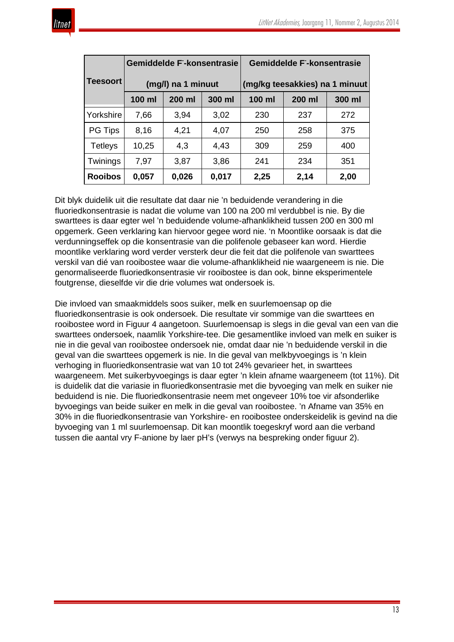|                 |        | <b>Gemiddelde F-konsentrasie</b> |        | <b>Gemiddelde F-konsentrasie</b> |        |        |  |
|-----------------|--------|----------------------------------|--------|----------------------------------|--------|--------|--|
| <b>Teesoort</b> |        | (mg/l) na 1 minuut               |        | (mg/kg teesakkies) na 1 minuut   |        |        |  |
|                 | 100 ml | 200 ml                           | 300 ml | $100$ ml                         | 200 ml | 300 ml |  |
| Yorkshire       | 7,66   | 3,94                             | 3,02   | 230                              | 237    | 272    |  |
| <b>PG Tips</b>  | 8,16   | 4,21                             | 4,07   | 250                              | 258    | 375    |  |
| <b>Tetleys</b>  | 10,25  | 4,3                              | 4,43   | 309                              | 259    | 400    |  |
| Twinings        | 7,97   | 3,87                             | 3,86   | 241                              | 234    | 351    |  |
| <b>Rooibos</b>  | 0,057  | 0,026                            | 0,017  | 2,25                             | 2,14   | 2,00   |  |

Dit blyk duidelik uit die resultate dat daar nie 'n beduidende verandering in die fluoriedkonsentrasie is nadat die volume van 100 na 200 ml verdubbel is nie. By die swarttees is daar egter wel 'n beduidende volume-afhanklikheid tussen 200 en 300 ml opgemerk. Geen verklaring kan hiervoor gegee word nie. 'n Moontlike oorsaak is dat die verdunningseffek op die konsentrasie van die polifenole gebaseer kan word. Hierdie moontlike verklaring word verder versterk deur die feit dat die polifenole van swarttees verskil van dié van rooibostee waar die volume-afhanklikheid nie waargeneem is nie. Die genormaliseerde fluoriedkonsentrasie vir rooibostee is dan ook, binne eksperimentele foutgrense, dieselfde vir die drie volumes wat ondersoek is.

Die invloed van smaakmiddels soos suiker, melk en suurlemoensap op die fluoriedkonsentrasie is ook ondersoek. Die resultate vir sommige van die swarttees en rooibostee word in Figuur 4 aangetoon. Suurlemoensap is slegs in die geval van een van die swarttees ondersoek, naamlik Yorkshire-tee. Die gesamentlike invloed van melk en suiker is nie in die geval van rooibostee ondersoek nie, omdat daar nie 'n beduidende verskil in die geval van die swarttees opgemerk is nie. In die geval van melkbyvoegings is 'n klein verhoging in fluoriedkonsentrasie wat van 10 tot 24% gevarieer het, in swarttees waargeneem. Met suikerbyvoegings is daar egter 'n klein afname waargeneem (tot 11%). Dit is duidelik dat die variasie in fluoriedkonsentrasie met die byvoeging van melk en suiker nie beduidend is nie. Die fluoriedkonsentrasie neem met ongeveer 10% toe vir afsonderlike byvoegings van beide suiker en melk in die geval van rooibostee. 'n Afname van 35% en 30% in die fluoriedkonsentrasie van Yorkshire- en rooibostee onderskeidelik is gevind na die byvoeging van 1 ml suurlemoensap. Dit kan moontlik toegeskryf word aan die verband tussen die aantal vry F-anione by laer pH's (verwys na bespreking onder figuur 2).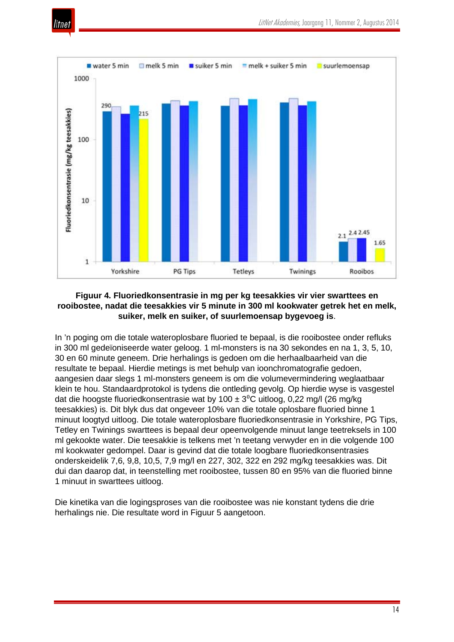



## **Figuur 4. Fluoriedkonsentrasie in mg per kg teesakkies vir vier swarttees en rooibostee, nadat die teesakkies vir 5 minute in 300 ml kookwater getrek het en melk, suiker, melk en suiker, of suurlemoensap bygevoeg is**.

In 'n poging om die totale wateroplosbare fluoried te bepaal, is die rooibostee onder refluks in 300 ml gedeïoniseerde water geloog. 1 ml-monsters is na 30 sekondes en na 1, 3, 5, 10, 30 en 60 minute geneem. Drie herhalings is gedoen om die herhaalbaarheid van die resultate te bepaal. Hierdie metings is met behulp van ioonchromatografie gedoen, aangesien daar slegs 1 ml-monsters geneem is om die volumevermindering weglaatbaar klein te hou. Standaardprotokol is tydens die ontleding gevolg. Op hierdie wyse is vasgestel dat die hoogste fluoriedkonsentrasie wat by 100  $\pm$  3<sup>o</sup>C uitloog, 0,22 mg/l (26 mg/kg teesakkies) is. Dit blyk dus dat ongeveer 10% van die totale oplosbare fluoried binne 1 minuut loogtyd uitloog. Die totale wateroplosbare fluoriedkonsentrasie in Yorkshire, PG Tips, Tetley en Twinings swarttees is bepaal deur opeenvolgende minuut lange teetreksels in 100 ml gekookte water. Die teesakkie is telkens met 'n teetang verwyder en in die volgende 100 ml kookwater gedompel. Daar is gevind dat die totale loogbare fluoriedkonsentrasies onderskeidelik 7,6, 9,8, 10,5, 7,9 mg/l en 227, 302, 322 en 292 mg/kg teesakkies was. Dit dui dan daarop dat, in teenstelling met rooibostee, tussen 80 en 95% van die fluoried binne 1 minuut in swarttees uitloog.

Die kinetika van die logingsproses van die rooibostee was nie konstant tydens die drie herhalings nie. Die resultate word in Figuur 5 aangetoon.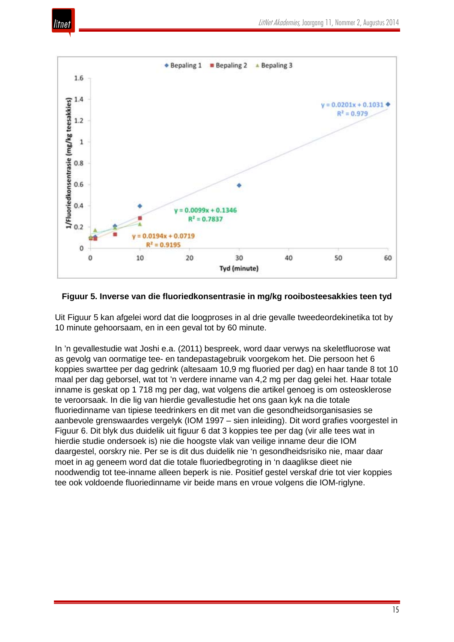



#### **Figuur 5. Inverse van die fluoriedkonsentrasie in mg/kg rooibosteesakkies teen tyd**

Uit Figuur 5 kan afgelei word dat die loogproses in al drie gevalle tweedeordekinetika tot by 10 minute gehoorsaam, en in een geval tot by 60 minute.

In 'n gevallestudie wat Joshi e.a. (2011) bespreek, word daar verwys na skeletfluorose wat as gevolg van oormatige tee- en tandepastagebruik voorgekom het. Die persoon het 6 koppies swarttee per dag gedrink (altesaam 10,9 mg fluoried per dag) en haar tande 8 tot 10 maal per dag geborsel, wat tot 'n verdere inname van 4,2 mg per dag gelei het. Haar totale inname is geskat op 1 718 mg per dag, wat volgens die artikel genoeg is om osteosklerose te veroorsaak. In die lig van hierdie gevallestudie het ons gaan kyk na die totale fluoriedinname van tipiese teedrinkers en dit met van die gesondheidsorganisasies se aanbevole grenswaardes vergelyk (IOM 1997 – sien inleiding). Dit word grafies voorgestel in Figuur 6. Dit blyk dus duidelik uit figuur 6 dat 3 koppies tee per dag (vir alle tees wat in hierdie studie ondersoek is) nie die hoogste vlak van veilige inname deur die IOM daargestel, oorskry nie. Per se is dit dus duidelik nie 'n gesondheidsrisiko nie, maar daar moet in ag geneem word dat die totale fluoriedbegroting in 'n daaglikse dieet nie noodwendig tot tee-inname alleen beperk is nie. Positief gestel verskaf drie tot vier koppies tee ook voldoende fluoriedinname vir beide mans en vroue volgens die IOM-riglyne.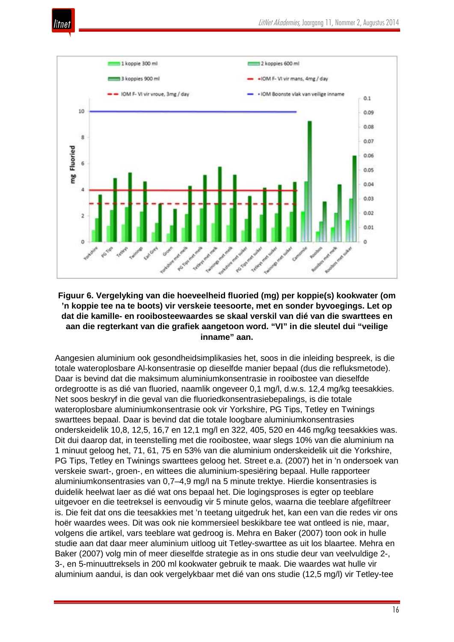



## **Figuur 6. Vergelyking van die hoeveelheid fluoried (mg) per koppie(s) kookwater (om 'n koppie tee na te boots) vir verskeie teesoorte, met en sonder byvoegings. Let op dat die kamille- en rooibosteewaardes se skaal verskil van dié van die swarttees en aan die regterkant van die grafiek aangetoon word. "VI" in die sleutel dui "veilige inname" aan.**

Aangesien aluminium ook gesondheidsimplikasies het, soos in die inleiding bespreek, is die totale wateroplosbare Al-konsentrasie op dieselfde manier bepaal (dus die refluksmetode). Daar is bevind dat die maksimum aluminiumkonsentrasie in rooibostee van dieselfde ordegrootte is as dié van fluoried, naamlik ongeveer 0,1 mg/l, d.w.s. 12,4 mg/kg teesakkies. Net soos beskryf in die geval van die fluoriedkonsentrasiebepalings, is die totale wateroplosbare aluminiumkonsentrasie ook vir Yorkshire, PG Tips, Tetley en Twinings swarttees bepaal. Daar is bevind dat die totale loogbare aluminiumkonsentrasies onderskeidelik 10,8, 12,5, 16,7 en 12,1 mg/l en 322, 405, 520 en 446 mg/kg teesakkies was. Dit dui daarop dat, in teenstelling met die rooibostee, waar slegs 10% van die aluminium na 1 minuut geloog het, 71, 61, 75 en 53% van die aluminium onderskeidelik uit die Yorkshire, PG Tips, Tetley en Twinings swarttees geloog het. Street e.a. (2007) het in 'n ondersoek van verskeie swart-, groen-, en wittees die aluminium-spesiëring bepaal. Hulle rapporteer aluminiumkonsentrasies van 0,7–4,9 mg/l na 5 minute trektye. Hierdie konsentrasies is duidelik heelwat laer as dié wat ons bepaal het. Die logingsproses is egter op teeblare uitgevoer en die teetreksel is eenvoudig vir 5 minute gelos, waarna die teeblare afgefiltreer is. Die feit dat ons die teesakkies met 'n teetang uitgedruk het, kan een van die redes vir ons hoër waardes wees. Dit was ook nie kommersieel beskikbare tee wat ontleed is nie, maar, volgens die artikel, vars teeblare wat gedroog is. Mehra en Baker (2007) toon ook in hulle studie aan dat daar meer aluminium uitloog uit Tetley-swarttee as uit los blaartee. Mehra en Baker (2007) volg min of meer dieselfde strategie as in ons studie deur van veelvuldige 2-, 3-, en 5-minuuttreksels in 200 ml kookwater gebruik te maak. Die waardes wat hulle vir aluminium aandui, is dan ook vergelykbaar met dié van ons studie (12,5 mg/l) vir Tetley-tee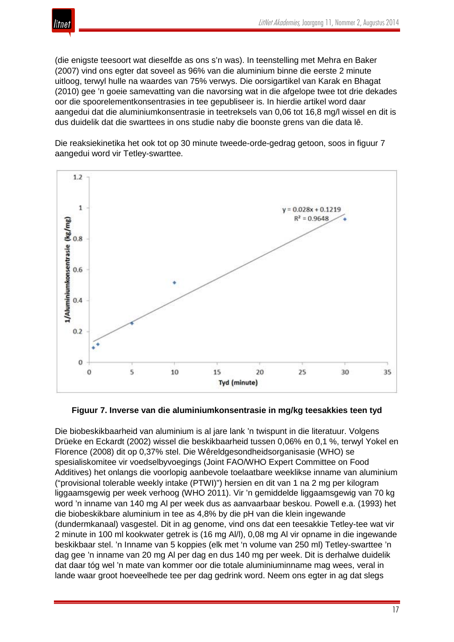

(die enigste teesoort wat dieselfde as ons s'n was). In teenstelling met Mehra en Baker (2007) vind ons egter dat soveel as 96% van die aluminium binne die eerste 2 minute uitloog, terwyl hulle na waardes van 75% verwys. Die oorsigartikel van Karak en Bhagat (2010) gee 'n goeie samevatting van die navorsing wat in die afgelope twee tot drie dekades oor die spoorelementkonsentrasies in tee gepubliseer is. In hierdie artikel word daar aangedui dat die aluminiumkonsentrasie in teetreksels van 0,06 tot 16,8 mg/l wissel en dit is dus duidelik dat die swarttees in ons studie naby die boonste grens van die data lê.

Die reaksiekinetika het ook tot op 30 minute tweede-orde-gedrag getoon, soos in figuur 7 aangedui word vir Tetley-swarttee.



#### **Figuur 7. Inverse van die aluminiumkonsentrasie in mg/kg teesakkies teen tyd**

Die biobeskikbaarheid van aluminium is al jare lank 'n twispunt in die literatuur. Volgens Drüeke en Eckardt (2002) wissel die beskikbaarheid tussen 0,06% en 0,1 %, terwyl Yokel en Florence (2008) dit op 0,37% stel. Die Wêreldgesondheidsorganisasie (WHO) se spesialiskomitee vir voedselbyvoegings (Joint FAO/WHO Expert Committee on Food Additives) het onlangs die voorlopig aanbevole toelaatbare weeklikse inname van aluminium ("provisional tolerable weekly intake (PTWI)") hersien en dit van 1 na 2 mg per kilogram liggaamsgewig per week verhoog (WHO 2011). Vir 'n gemiddelde liggaamsgewig van 70 kg word 'n inname van 140 mg Al per week dus as aanvaarbaar beskou. Powell e.a. (1993) het die biobeskikbare aluminium in tee as 4,8% by die pH van die klein ingewande (dundermkanaal) vasgestel. Dit in ag genome, vind ons dat een teesakkie Tetley-tee wat vir 2 minute in 100 ml kookwater getrek is (16 mg Al/l), 0,08 mg Al vir opname in die ingewande beskikbaar stel. 'n Inname van 5 koppies (elk met 'n volume van 250 ml) Tetley-swarttee 'n dag gee 'n inname van 20 mg Al per dag en dus 140 mg per week. Dit is derhalwe duidelik dat daar tóg wel 'n mate van kommer oor die totale aluminiuminname mag wees, veral in lande waar groot hoeveelhede tee per dag gedrink word. Neem ons egter in ag dat slegs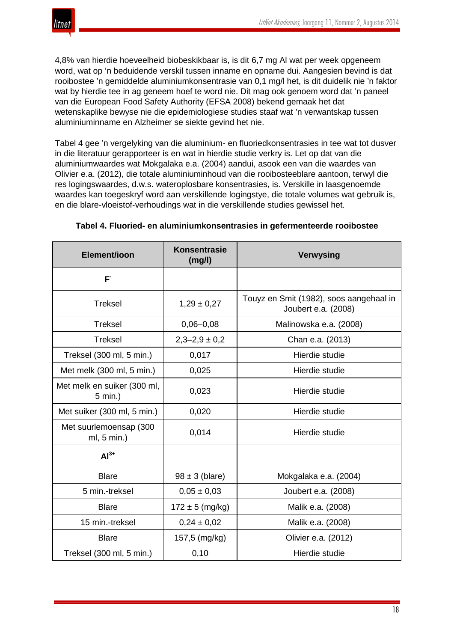

4,8% van hierdie hoeveelheid biobeskikbaar is, is dit 6,7 mg Al wat per week opgeneem word, wat op 'n beduidende verskil tussen inname en opname dui. Aangesien bevind is dat rooibostee 'n gemiddelde aluminiumkonsentrasie van 0,1 mg/l het, is dit duidelik nie 'n faktor wat by hierdie tee in ag geneem hoef te word nie. Dit mag ook genoem word dat 'n paneel van die European Food Safety Authority (EFSA 2008) bekend gemaak het dat wetenskaplike bewyse nie die epidemiologiese studies staaf wat 'n verwantskap tussen aluminiuminname en Alzheimer se siekte gevind het nie.

Tabel 4 gee 'n vergelyking van die aluminium- en fluoriedkonsentrasies in tee wat tot dusver in die literatuur gerapporteer is en wat in hierdie studie verkry is. Let op dat van die aluminiumwaardes wat Mokgalaka e.a. (2004) aandui, asook een van die waardes van Olivier e.a. (2012), die totale aluminiuminhoud van die rooibosteeblare aantoon, terwyl die res logingswaardes, d.w.s. wateroplosbare konsentrasies, is. Verskille in laasgenoemde waardes kan toegeskryf word aan verskillende logingstye, die totale volumes wat gebruik is, en die blare-vloeistof-verhoudings wat in die verskillende studies gewissel het.

| Element/ioon                           | Konsentrasie<br>(mg/l) | <b>Verwysing</b>                                               |  |  |
|----------------------------------------|------------------------|----------------------------------------------------------------|--|--|
| $F^{\cdot}$                            |                        |                                                                |  |  |
| <b>Treksel</b>                         | $1,29 \pm 0,27$        | Touyz en Smit (1982), soos aangehaal in<br>Joubert e.a. (2008) |  |  |
| <b>Treksel</b>                         | $0,06 - 0,08$          | Malinowska e.a. (2008)                                         |  |  |
| <b>Treksel</b>                         | $2,3-2,9 \pm 0,2$      | Chan e.a. (2013)                                               |  |  |
| Treksel (300 ml, 5 min.)               | 0,017                  | Hierdie studie                                                 |  |  |
| Met melk (300 ml, 5 min.)              | 0,025                  | Hierdie studie                                                 |  |  |
| Met melk en suiker (300 ml,<br>5 min.) | 0,023                  | Hierdie studie                                                 |  |  |
| Met suiker (300 ml, 5 min.)            | 0,020                  | Hierdie studie                                                 |  |  |
| Met suurlemoensap (300<br>ml, 5 min.)  | 0,014                  | Hierdie studie                                                 |  |  |
| $Al3+$                                 |                        |                                                                |  |  |
| <b>Blare</b>                           | $98 \pm 3$ (blare)     | Mokgalaka e.a. (2004)                                          |  |  |
| 5 min.-treksel                         | $0.05 \pm 0.03$        | Joubert e.a. (2008)                                            |  |  |
| <b>Blare</b>                           | $172 \pm 5$ (mg/kg)    | Malik e.a. (2008)                                              |  |  |
| 15 min.-treksel                        | $0,24 \pm 0,02$        | Malik e.a. (2008)                                              |  |  |
| <b>Blare</b>                           | 157,5 (mg/kg)          | Olivier e.a. (2012)                                            |  |  |
| Treksel (300 ml, 5 min.)               | 0, 10                  | Hierdie studie                                                 |  |  |

# **Tabel 4. Fluoried- en aluminiumkonsentrasies in gefermenteerde rooibostee**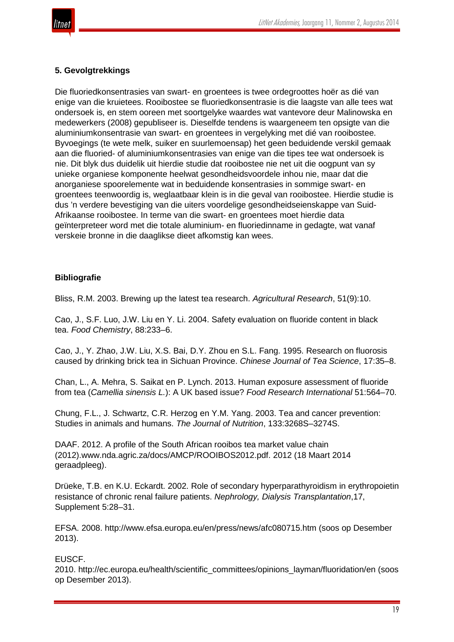

#### **5. Gevolgtrekkings**

Die fluoriedkonsentrasies van swart- en groentees is twee ordegroottes hoër as dié van enige van die kruietees. Rooibostee se fluoriedkonsentrasie is die laagste van alle tees wat ondersoek is, en stem ooreen met soortgelyke waardes wat vantevore deur Malinowska en medewerkers (2008) gepubliseer is. Dieselfde tendens is waargeneem ten opsigte van die aluminiumkonsentrasie van swart- en groentees in vergelyking met dié van rooibostee. Byvoegings (te wete melk, suiker en suurlemoensap) het geen beduidende verskil gemaak aan die fluoried- of aluminiumkonsentrasies van enige van die tipes tee wat ondersoek is nie. Dit blyk dus duidelik uit hierdie studie dat rooibostee nie net uit die oogpunt van sy unieke organiese komponente heelwat gesondheidsvoordele inhou nie, maar dat die anorganiese spoorelemente wat in beduidende konsentrasies in sommige swart- en groentees teenwoordig is, weglaatbaar klein is in die geval van rooibostee. Hierdie studie is dus 'n verdere bevestiging van die uiters voordelige gesondheidseienskappe van Suid-Afrikaanse rooibostee. In terme van die swart- en groentees moet hierdie data geïnterpreteer word met die totale aluminium- en fluoriedinname in gedagte, wat vanaf verskeie bronne in die daaglikse dieet afkomstig kan wees.

# **Bibliografie**

Bliss, R.M. 2003. Brewing up the latest tea research. *Agricultural Research*, 51(9):10.

Cao, J., S.F. Luo, J.W. Liu en Y. Li. 2004. Safety evaluation on fluoride content in black tea. *Food Chemistry*, 88:233–6.

Cao, J., Y. Zhao, J.W. Liu, X.S. Bai, D.Y. Zhou en S.L. Fang. 1995. Research on fluorosis caused by drinking brick tea in Sichuan Province. *Chinese Journal of Tea Science*, 17:35–8.

Chan, L., A. Mehra, S. Saikat en P. Lynch. 2013. Human exposure assessment of fluoride from tea (*Camellia sinensis L.*): A UK based issue? *Food Research International* 51:564–70.

Chung, F.L., J. Schwartz, C.R. Herzog en Y.M. Yang. 2003. Tea and cancer prevention: Studies in animals and humans. *The Journal of Nutrition*, 133:3268S–3274S.

DAAF. 2012. A profile of the South African rooibos tea market value chain (2012).www.nda.agric.za/docs/AMCP/ROOIBOS2012.pdf. 2012 (18 Maart 2014 geraadpleeg).

Drüeke, T.B. en K.U. Eckardt. 2002. Role of secondary hyperparathyroidism in erythropoietin resistance of chronic renal failure patients. *Nephrology, Dialysis Transplantation*,17, Supplement 5:28–31.

EFSA. 2008. http://www.efsa.europa.eu/en/press/news/afc080715.htm (soos op Desember 2013).

#### EUSCF.

2010. http://ec.europa.eu/health/scientific\_committees/opinions\_layman/fluoridation/en (soos op Desember 2013).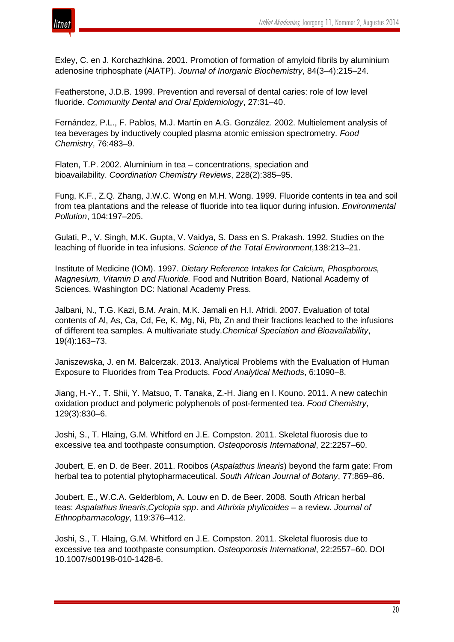

Exley, C. en J. Korchazhkina. 2001. Promotion of formation of amyloid fibrils by aluminium adenosine triphosphate (AlATP). *Journal of Inorganic Biochemistry*, 84(3–4):215–24.

Featherstone, J.D.B. 1999. Prevention and reversal of dental caries: role of low level fluoride. *Community Dental and Oral Epidemiology*, 27:31–40.

Fernández, P.L., F. Pablos, M.J. Martín en A.G. González. 2002. Multielement analysis of tea beverages by inductively coupled plasma atomic emission spectrometry. *Food Chemistry*, 76:483–9.

Flaten, T.P. 2002. Aluminium in tea – concentrations, speciation and bioavailability. *Coordination Chemistry Reviews*, 228(2):385–95.

Fung, K.F., Z.Q. Zhang, J.W.C. Wong en M.H. Wong. 1999. Fluoride contents in tea and soil from tea plantations and the release of fluoride into tea liquor during infusion. *Environmental Pollution*, 104:197–205.

Gulati, P., V. Singh, M.K. Gupta, V. Vaidya, S. Dass en S. Prakash. 1992. Studies on the leaching of fluoride in tea infusions. *Science of the Total Environment*,138:213–21.

Institute of Medicine (IOM). 1997. *Dietary Reference Intakes for Calcium, Phosphorous, Magnesium, Vitamin D and Fluoride.* Food and Nutrition Board, National Academy of Sciences. Washington DC: National Academy Press.

Jalbani, N., T.G. Kazi, B.M. Arain, M.K. Jamali en H.I. Afridi. 2007. Evaluation of total contents of Al, As, Ca, Cd, Fe, K, Mg, Ni, Pb, Zn and their fractions leached to the infusions of different tea samples. A multivariate study.*Chemical Speciation and Bioavailability*, 19(4):163–73.

Janiszewska, J. en M. Balcerzak. 2013. Analytical Problems with the Evaluation of Human Exposure to Fluorides from Tea Products. *Food Analytical Methods*, 6:1090–8.

Jiang, H.-Y., T. Shii, Y. Matsuo, T. Tanaka, Z.-H. Jiang en I. Kouno. 2011. A new catechin oxidation product and polymeric polyphenols of post-fermented tea. *Food Chemistry*, 129(3):830–6.

Joshi, S., T. Hlaing, G.M. Whitford en J.E. Compston. 2011. Skeletal fluorosis due to excessive tea and toothpaste consumption. *Osteoporosis International*, 22:2257–60.

Joubert, E. en D. de Beer. 2011. Rooibos (*Aspalathus linearis*) beyond the farm gate: From herbal tea to potential phytopharmaceutical. *South African Journal of Botany*, 77:869–86.

Joubert, E., W.C.A. Gelderblom, A. Louw en D. de Beer. 2008. South African herbal teas: *Aspalathus linearis*,*Cyclopia spp*. and *Athrixia phylicoides* – a review. *Journal of Ethnopharmacology*, 119:376–412.

Joshi, S., T. Hlaing, G.M. Whitford en J.E. Compston. 2011. Skeletal fluorosis due to excessive tea and toothpaste consumption. *Osteoporosis International*, 22:2557–60. DOI 10.1007/s00198-010-1428-6.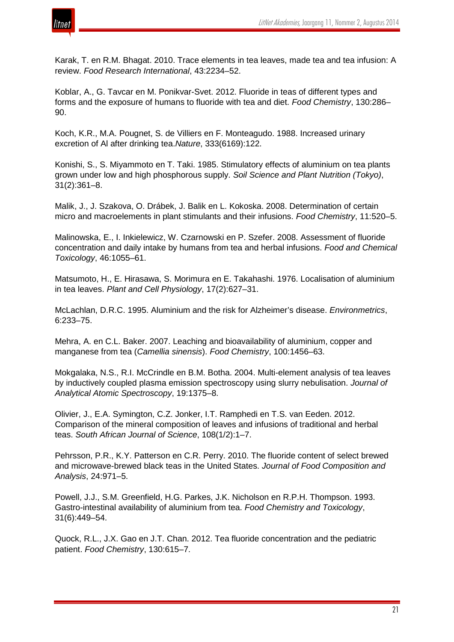

Karak, T. en R.M. Bhagat. 2010. Trace elements in tea leaves, made tea and tea infusion: A review. *Food Research International*, 43:2234–52.

Koblar, A., G. Tavcar en M. Ponikvar-Svet. 2012. Fluoride in teas of different types and forms and the exposure of humans to fluoride with tea and diet. *Food Chemistry*, 130:286– 90.

Koch, K.R., M.A. Pougnet, S. de Villiers en F. Monteagudo. 1988. Increased urinary excretion of Al after drinking tea.*Nature*, 333(6169):122.

Konishi, S., S. Miyammoto en T. Taki. 1985. Stimulatory effects of aluminium on tea plants grown under low and high phosphorous supply. *Soil Science and Plant Nutrition (Tokyo)*, 31(2):361–8.

Malik, J., J. Szakova, O. Drábek, J. Balik en L. Kokoska. 2008. Determination of certain micro and macroelements in plant stimulants and their infusions. *Food Chemistry*, 11:520–5.

Malinowska, E., I. Inkielewicz, W. Czarnowski en P. Szefer. 2008. Assessment of fluoride concentration and daily intake by humans from tea and herbal infusions. *Food and Chemical Toxicology*, 46:1055–61.

Matsumoto, H., E. Hirasawa, S. Morimura en E. Takahashi. 1976. Localisation of aluminium in tea leaves. *Plant and Cell Physiology*, 17(2):627–31.

McLachlan, D.R.C. 1995. Aluminium and the risk for Alzheimer's disease. *Environmetrics*, 6:233–75.

Mehra, A. en C.L. Baker. 2007. Leaching and bioavailability of aluminium, copper and manganese from tea (*Camellia sinensis*). *Food Chemistry*, 100:1456–63.

Mokgalaka, N.S., R.I. McCrindle en B.M. Botha. 2004. Multi-element analysis of tea leaves by inductively coupled plasma emission spectroscopy using slurry nebulisation. *Journal of Analytical Atomic Spectroscopy*, 19:1375–8.

Olivier, J., E.A. Symington, C.Z. Jonker, I.T. Ramphedi en T.S. van Eeden. 2012. Comparison of the mineral composition of leaves and infusions of traditional and herbal teas. *South African Journal of Science*, 108(1/2):1–7.

Pehrsson, P.R., K.Y. Patterson en C.R. Perry. 2010. The fluoride content of select brewed and microwave-brewed black teas in the United States. *Journal of Food Composition and Analysis*, 24:971–5.

Powell, J.J., S.M. Greenfield, H.G. Parkes, J.K. Nicholson en R.P.H. Thompson. 1993. Gastro-intestinal availability of aluminium from tea. *Food Chemistry and Toxicology*, 31(6):449–54.

Quock, R.L., J.X. Gao en J.T. Chan. 2012. Tea fluoride concentration and the pediatric patient. *Food Chemistry*, 130:615–7.